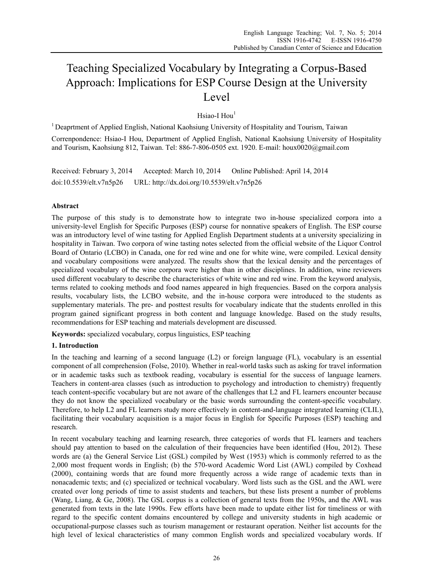# Teaching Specialized Vocabulary by Integrating a Corpus-Based Approach: Implications for ESP Course Design at the University Level

# Hsiao-I  $H$ ou<sup>1</sup>

1 Deaprtment of Applied English, National Kaohsiung University of Hospitality and Tourism, Taiwan Correnpondence: Hsiao-I Hou, Department of Applied English, National Kaohsiung University of Hospitality and Tourism, Kaohsiung 812, Taiwan. Tel: 886-7-806-0505 ext. 1920. E-mail: houx0020@gmail.com

Received: February 3, 2014 Accepted: March 10, 2014 Online Published: April 14, 2014 doi:10.5539/elt.v7n5p26 URL: http://dx.doi.org/10.5539/elt.v7n5p26

# **Abstract**

The purpose of this study is to demonstrate how to integrate two in-house specialized corpora into a university-level English for Specific Purposes (ESP) course for nonnative speakers of English. The ESP course was an introductory level of wine tasting for Applied English Department students at a university specializing in hospitality in Taiwan. Two corpora of wine tasting notes selected from the official website of the Liquor Control Board of Ontario (LCBO) in Canada, one for red wine and one for white wine, were compiled. Lexical density and vocabulary compositions were analyzed. The results show that the lexical density and the percentages of specialized vocabulary of the wine corpora were higher than in other disciplines. In addition, wine reviewers used different vocabulary to describe the characteristics of white wine and red wine. From the keyword analysis, terms related to cooking methods and food names appeared in high frequencies. Based on the corpora analysis results, vocabulary lists, the LCBO website, and the in-house corpora were introduced to the students as supplementary materials. The pre- and posttest results for vocabulary indicate that the students enrolled in this program gained significant progress in both content and language knowledge. Based on the study results, recommendations for ESP teaching and materials development are discussed.

**Keywords:** specialized vocabulary, corpus linguistics, ESP teaching

# **1. Introduction**

In the teaching and learning of a second language (L2) or foreign language (FL), vocabulary is an essential component of all comprehension (Folse, 2010). Whether in real-world tasks such as asking for travel information or in academic tasks such as textbook reading, vocabulary is essential for the success of language learners. Teachers in content-area classes (such as introduction to psychology and introduction to chemistry) frequently teach content-specific vocabulary but are not aware of the challenges that L2 and FL learners encounter because they do not know the specialized vocabulary or the basic words surrounding the content-specific vocabulary. Therefore, to help L2 and FL learners study more effectively in content-and-language integrated learning (CLIL), facilitating their vocabulary acquisition is a major focus in English for Specific Purposes (ESP) teaching and research.

In recent vocabulary teaching and learning research, three categories of words that FL learners and teachers should pay attention to based on the calculation of their frequencies have been identified (Hou, 2012). These words are (a) the General Service List (GSL) compiled by West (1953) which is commonly referred to as the 2,000 most frequent words in English; (b) the 570-word Academic Word List (AWL) compiled by Coxhead (2000), containing words that are found more frequently across a wide range of academic texts than in nonacademic texts; and (c) specialized or technical vocabulary. Word lists such as the GSL and the AWL were created over long periods of time to assist students and teachers, but these lists present a number of problems (Wang, Liang, & Ge, 2008). The GSL corpus is a collection of general texts from the 1950s, and the AWL was generated from texts in the late 1990s. Few efforts have been made to update either list for timeliness or with regard to the specific content domains encountered by college and university students in high academic or occupational-purpose classes such as tourism management or restaurant operation. Neither list accounts for the high level of lexical characteristics of many common English words and specialized vocabulary words. If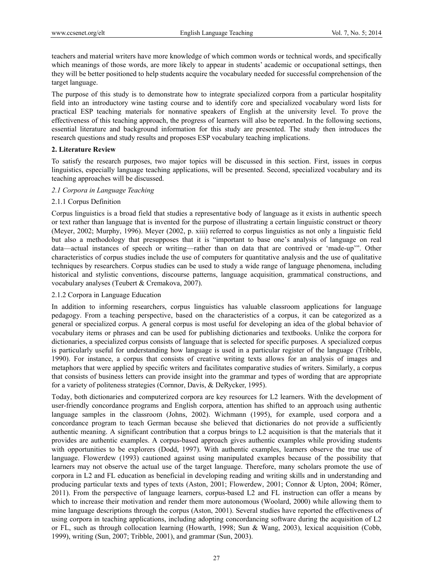teachers and material writers have more knowledge of which common words or technical words, and specifically which meanings of those words, are more likely to appear in students' academic or occupational settings, then they will be better positioned to help students acquire the vocabulary needed for successful comprehension of the target language.

The purpose of this study is to demonstrate how to integrate specialized corpora from a particular hospitality field into an introductory wine tasting course and to identify core and specialized vocabulary word lists for practical ESP teaching materials for nonnative speakers of English at the university level. To prove the effectiveness of this teaching approach, the progress of learners will also be reported. In the following sections, essential literature and background information for this study are presented. The study then introduces the research questions and study results and proposes ESP vocabulary teaching implications.

# **2. Literature Review**

To satisfy the research purposes, two major topics will be discussed in this section. First, issues in corpus linguistics, especially language teaching applications, will be presented. Second, specialized vocabulary and its teaching approaches will be discussed.

## *2.1 Corpora in Language Teaching*

# 2.1.1 Corpus Definition

Corpus linguistics is a broad field that studies a representative body of language as it exists in authentic speech or text rather than language that is invented for the purpose of illustrating a certain linguistic construct or theory (Meyer, 2002; Murphy, 1996). Meyer (2002, p. xiii) referred to corpus linguistics as not only a linguistic field but also a methodology that presupposes that it is "important to base one's analysis of language on real data—actual instances of speech or writing—rather than on data that are contrived or 'made-up'". Other characteristics of corpus studies include the use of computers for quantitative analysis and the use of qualitative techniques by researchers. Corpus studies can be used to study a wide range of language phenomena, including historical and stylistic conventions, discourse patterns, language acquisition, grammatical constructions, and vocabulary analyses (Teubert & Cremakova, 2007).

# 2.1.2 Corpora in Language Education

In addition to informing researchers, corpus linguistics has valuable classroom applications for language pedagogy. From a teaching perspective, based on the characteristics of a corpus, it can be categorized as a general or specialized corpus. A general corpus is most useful for developing an idea of the global behavior of vocabulary items or phrases and can be used for publishing dictionaries and textbooks. Unlike the corpora for dictionaries, a specialized corpus consists of language that is selected for specific purposes. A specialized corpus is particularly useful for understanding how language is used in a particular register of the language (Tribble, 1990). For instance, a corpus that consists of creative writing texts allows for an analysis of images and metaphors that were applied by specific writers and facilitates comparative studies of writers. Similarly, a corpus that consists of business letters can provide insight into the grammar and types of wording that are appropriate for a variety of politeness strategies (Cornnor, Davis, & DeRycker, 1995).

Today, both dictionaries and computerized corpora are key resources for L2 learners. With the development of user-friendly concordance programs and English corpora, attention has shifted to an approach using authentic language samples in the classroom (Johns, 2002). Wichmann (1995), for example, used corpora and a concordance program to teach German because she believed that dictionaries do not provide a sufficiently authentic meaning. A significant contribution that a corpus brings to L2 acquisition is that the materials that it provides are authentic examples. A corpus-based approach gives authentic examples while providing students with opportunities to be explorers (Dodd, 1997). With authentic examples, learners observe the true use of language. Flowerdew (1993) cautioned against using manipulated examples because of the possibility that learners may not observe the actual use of the target language. Therefore, many scholars promote the use of corpora in L2 and FL education as beneficial in developing reading and writing skills and in understanding and producing particular texts and types of texts (Aston, 2001; Flowerdew, 2001; Connor & Upton, 2004; Römer, 2011). From the perspective of language learners, corpus-based L2 and FL instruction can offer a means by which to increase their motivation and render them more autonomous (Woolard, 2000) while allowing them to mine language descriptions through the corpus (Aston, 2001). Several studies have reported the effectiveness of using corpora in teaching applications, including adopting concordancing software during the acquisition of L2 or FL, such as through collocation learning (Howarth, 1998; Sun & Wang, 2003), lexical acquisition (Cobb, 1999), writing (Sun, 2007; Tribble, 2001), and grammar (Sun, 2003).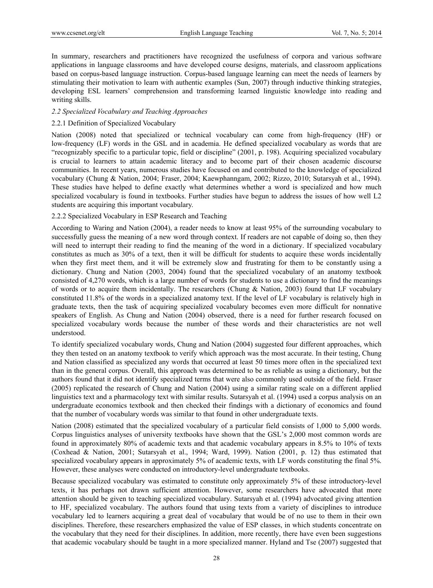In summary, researchers and practitioners have recognized the usefulness of corpora and various software applications in language classrooms and have developed course designs, materials, and classroom applications based on corpus-based language instruction. Corpus-based language learning can meet the needs of learners by stimulating their motivation to learn with authentic examples (Sun, 2007) through inductive thinking strategies, developing ESL learners' comprehension and transforming learned linguistic knowledge into reading and writing skills.

## *2.2 Specialized Vocabulary and Teaching Approaches*

#### 2.2.1 Definition of Specialized Vocabulary

Nation (2008) noted that specialized or technical vocabulary can come from high-frequency (HF) or low-frequency (LF) words in the GSL and in academia. He defined specialized vocabulary as words that are "recognizably specific to a particular topic, field or discipline" (2001, p. 198). Acquiring specialized vocabulary is crucial to learners to attain academic literacy and to become part of their chosen academic discourse communities. In recent years, numerous studies have focused on and contributed to the knowledge of specialized vocabulary (Chung & Nation, 2004; Fraser, 2004; Kaewphanngam, 2002; Rizzo, 2010; Sutarsyah et al., 1994). These studies have helped to define exactly what determines whether a word is specialized and how much specialized vocabulary is found in textbooks. Further studies have begun to address the issues of how well L2 students are acquiring this important vocabulary.

## 2.2.2 Specialized Vocabulary in ESP Research and Teaching

According to Waring and Nation (2004), a reader needs to know at least 95% of the surrounding vocabulary to successfully guess the meaning of a new word through context. If readers are not capable of doing so, then they will need to interrupt their reading to find the meaning of the word in a dictionary. If specialized vocabulary constitutes as much as 30% of a text, then it will be difficult for students to acquire these words incidentally when they first meet them, and it will be extremely slow and frustrating for them to be constantly using a dictionary. Chung and Nation (2003, 2004) found that the specialized vocabulary of an anatomy textbook consisted of 4,270 words, which is a large number of words for students to use a dictionary to find the meanings of words or to acquire them incidentally. The researchers (Chung & Nation, 2003) found that LF vocabulary constituted 11.8% of the words in a specialized anatomy text. If the level of LF vocabulary is relatively high in graduate texts, then the task of acquiring specialized vocabulary becomes even more difficult for nonnative speakers of English. As Chung and Nation (2004) observed, there is a need for further research focused on specialized vocabulary words because the number of these words and their characteristics are not well understood.

To identify specialized vocabulary words, Chung and Nation (2004) suggested four different approaches, which they then tested on an anatomy textbook to verify which approach was the most accurate. In their testing, Chung and Nation classified as specialized any words that occurred at least 50 times more often in the specialized text than in the general corpus. Overall, this approach was determined to be as reliable as using a dictionary, but the authors found that it did not identify specialized terms that were also commonly used outside of the field. Fraser (2005) replicated the research of Chung and Nation (2004) using a similar rating scale on a different applied linguistics text and a pharmacology text with similar results. Sutarsyah et al. (1994) used a corpus analysis on an undergraduate economics textbook and then checked their findings with a dictionary of economics and found that the number of vocabulary words was similar to that found in other undergraduate texts.

Nation (2008) estimated that the specialized vocabulary of a particular field consists of 1,000 to 5,000 words. Corpus linguistics analyses of university textbooks have shown that the GSL's 2,000 most common words are found in approximately 80% of academic texts and that academic vocabulary appears in 8.5% to 10% of texts (Coxhead & Nation, 2001; Sutarsyah et al., 1994; Ward, 1999). Nation (2001, p. 12) thus estimated that specialized vocabulary appears in approximately 5% of academic texts, with LF words constituting the final 5%. However, these analyses were conducted on introductory-level undergraduate textbooks.

Because specialized vocabulary was estimated to constitute only approximately 5% of these introductory-level texts, it has perhaps not drawn sufficient attention. However, some researchers have advocated that more attention should be given to teaching specialized vocabulary. Sutarsyah et al. (1994) advocated giving attention to HF, specialized vocabulary. The authors found that using texts from a variety of disciplines to introduce vocabulary led to learners acquiring a great deal of vocabulary that would be of no use to them in their own disciplines. Therefore, these researchers emphasized the value of ESP classes, in which students concentrate on the vocabulary that they need for their disciplines. In addition, more recently, there have even been suggestions that academic vocabulary should be taught in a more specialized manner. Hyland and Tse (2007) suggested that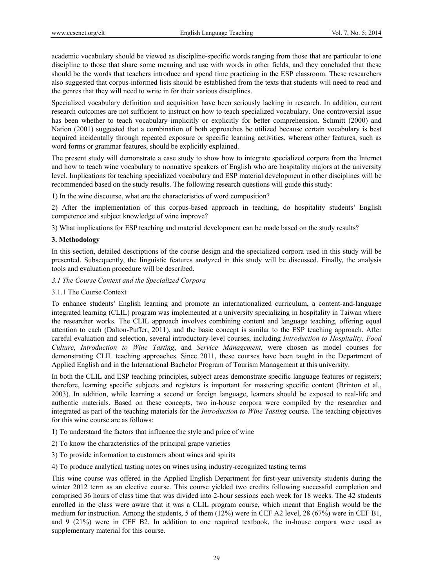academic vocabulary should be viewed as discipline-specific words ranging from those that are particular to one discipline to those that share some meaning and use with words in other fields, and they concluded that these should be the words that teachers introduce and spend time practicing in the ESP classroom. These researchers also suggested that corpus-informed lists should be established from the texts that students will need to read and the genres that they will need to write in for their various disciplines.

Specialized vocabulary definition and acquisition have been seriously lacking in research. In addition, current research outcomes are not sufficient to instruct on how to teach specialized vocabulary. One controversial issue has been whether to teach vocabulary implicitly or explicitly for better comprehension. Schmitt (2000) and Nation (2001) suggested that a combination of both approaches be utilized because certain vocabulary is best acquired incidentally through repeated exposure or specific learning activities, whereas other features, such as word forms or grammar features, should be explicitly explained.

The present study will demonstrate a case study to show how to integrate specialized corpora from the Internet and how to teach wine vocabulary to nonnative speakers of English who are hospitality majors at the university level. Implications for teaching specialized vocabulary and ESP material development in other disciplines will be recommended based on the study results. The following research questions will guide this study:

1) In the wine discourse, what are the characteristics of word composition?

2) After the implementation of this corpus-based approach in teaching, do hospitality students' English competence and subject knowledge of wine improve?

3) What implications for ESP teaching and material development can be made based on the study results?

## **3. Methodology**

In this section, detailed descriptions of the course design and the specialized corpora used in this study will be presented. Subsequently, the linguistic features analyzed in this study will be discussed. Finally, the analysis tools and evaluation procedure will be described.

#### *3.1 The Course Context and the Specialized Corpora*

#### 3.1.1 The Course Context

To enhance students' English learning and promote an internationalized curriculum, a content-and-language integrated learning (CLIL) program was implemented at a university specializing in hospitality in Taiwan where the researcher works. The CLIL approach involves combining content and language teaching, offering equal attention to each (Dalton-Puffer, 2011), and the basic concept is similar to the ESP teaching approach. After careful evaluation and selection, several introductory-level courses, including *Introduction to Hospitality, Food Culture*, *Introduction to Wine Tasting*, and *Service Management,* were chosen as model courses for demonstrating CLIL teaching approaches. Since 2011, these courses have been taught in the Department of Applied English and in the International Bachelor Program of Tourism Management at this university.

In both the CLIL and ESP teaching principles, subject areas demonstrate specific language features or registers; therefore, learning specific subjects and registers is important for mastering specific content (Brinton et al., 2003). In addition, while learning a second or foreign language, learners should be exposed to real-life and authentic materials. Based on these concepts, two in-house corpora were compiled by the researcher and integrated as part of the teaching materials for the *Introduction to Wine Tasting* course. The teaching objectives for this wine course are as follows:

1) To understand the factors that influence the style and price of wine

- 2) To know the characteristics of the principal grape varieties
- 3) To provide information to customers about wines and spirits
- 4) To produce analytical tasting notes on wines using industry-recognized tasting terms

This wine course was offered in the Applied English Department for first-year university students during the winter 2012 term as an elective course. This course yielded two credits following successful completion and comprised 36 hours of class time that was divided into 2-hour sessions each week for 18 weeks. The 42 students enrolled in the class were aware that it was a CLIL program course, which meant that English would be the medium for instruction. Among the students, 5 of them (12%) were in CEF A2 level, 28 (67%) were in CEF B1, and 9 (21%) were in CEF B2. In addition to one required textbook, the in-house corpora were used as supplementary material for this course.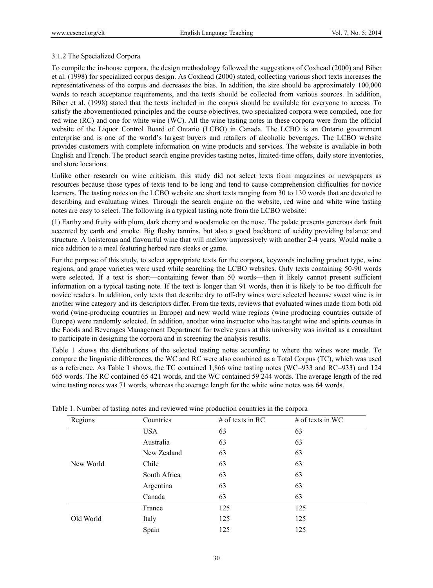## 3.1.2 The Specialized Corpora

To compile the in-house corpora, the design methodology followed the suggestions of Coxhead (2000) and Biber et al. (1998) for specialized corpus design. As Coxhead (2000) stated, collecting various short texts increases the representativeness of the corpus and decreases the bias. In addition, the size should be approximately 100,000 words to reach acceptance requirements, and the texts should be collected from various sources. In addition, Biber et al. (1998) stated that the texts included in the corpus should be available for everyone to access. To satisfy the abovementioned principles and the course objectives, two specialized corpora were compiled, one for red wine (RC) and one for white wine (WC). All the wine tasting notes in these corpora were from the official website of the Liquor Control Board of Ontario (LCBO) in Canada. The LCBO is an Ontario government enterprise and is one of the world's largest buyers and retailers of alcoholic beverages. The LCBO website provides customers with complete information on wine products and services. The website is available in both English and French. The product search engine provides tasting notes, limited-time offers, daily store inventories, and store locations.

Unlike other research on wine criticism, this study did not select texts from magazines or newspapers as resources because those types of texts tend to be long and tend to cause comprehension difficulties for novice learners. The tasting notes on the LCBO website are short texts ranging from 30 to 130 words that are devoted to describing and evaluating wines. Through the search engine on the website, red wine and white wine tasting notes are easy to select. The following is a typical tasting note from the LCBO website:

(1) Earthy and fruity with plum, dark cherry and woodsmoke on the nose. The palate presents generous dark fruit accented by earth and smoke. Big fleshy tannins, but also a good backbone of acidity providing balance and structure. A boisterous and flavourful wine that will mellow impressively with another 2-4 years. Would make a nice addition to a meal featuring herbed rare steaks or game.

For the purpose of this study, to select appropriate texts for the corpora, keywords including product type, wine regions, and grape varieties were used while searching the LCBO websites. Only texts containing 50-90 words were selected. If a text is short—containing fewer than 50 words—then it likely cannot present sufficient information on a typical tasting note. If the text is longer than 91 words, then it is likely to be too difficult for novice readers. In addition, only texts that describe dry to off-dry wines were selected because sweet wine is in another wine category and its descriptors differ. From the texts, reviews that evaluated wines made from both old world (wine-producing countries in Europe) and new world wine regions (wine producing countries outside of Europe) were randomly selected. In addition, another wine instructor who has taught wine and spirits courses in the Foods and Beverages Management Department for twelve years at this university was invited as a consultant to participate in designing the corpora and in screening the analysis results.

Table 1 shows the distributions of the selected tasting notes according to where the wines were made. To compare the linguistic differences, the WC and RC were also combined as a Total Corpus (TC), which was used as a reference. As Table 1 shows, the TC contained 1,866 wine tasting notes (WC=933 and RC=933) and 124 665 words. The RC contained 65 421 words, and the WC contained 59 244 words. The average length of the red wine tasting notes was 71 words, whereas the average length for the white wine notes was 64 words.

| Regions   | Countries    | $#$ of texts in RC | $#$ of texts in WC |
|-----------|--------------|--------------------|--------------------|
|           | <b>USA</b>   | 63                 | 63                 |
|           | Australia    | 63                 | 63                 |
|           | New Zealand  | 63                 | 63                 |
| New World | Chile        | 63                 | 63                 |
|           | South Africa | 63                 | 63                 |
|           | Argentina    | 63                 | 63                 |
|           | Canada       | 63                 | 63                 |
|           | France       | 125                | 125                |
| Old World | Italy        | 125                | 125                |
|           | Spain        | 125                | 125                |

|  |  |  | Table 1. Number of tasting notes and reviewed wine production countries in the corpora |  |  |
|--|--|--|----------------------------------------------------------------------------------------|--|--|
|  |  |  |                                                                                        |  |  |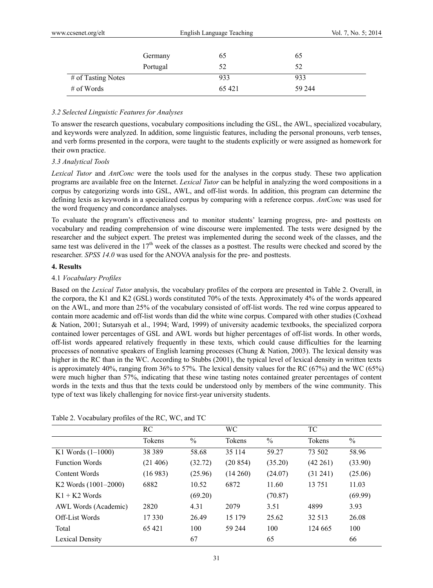| Portugal                  |        |
|---------------------------|--------|
| # of Tasting Notes<br>933 | 933    |
| 65421<br># of Words       | 59 244 |

# *3.2 Selected Linguistic Features for Analyses*

To answer the research questions, vocabulary compositions including the GSL, the AWL, specialized vocabulary, and keywords were analyzed. In addition, some linguistic features, including the personal pronouns, verb tenses, and verb forms presented in the corpora, were taught to the students explicitly or were assigned as homework for their own practice.

# *3.3 Analytical Tools*

*Lexical Tutor* and *AntConc* were the tools used for the analyses in the corpus study. These two application programs are available free on the Internet. *Lexical Tutor* can be helpful in analyzing the word compositions in a corpus by categorizing words into GSL, AWL, and off-list words. In addition, this program can determine the defining lexis as keywords in a specialized corpus by comparing with a reference corpus. *AntConc* was used for the word frequency and concordance analyses.

To evaluate the program's effectiveness and to monitor students' learning progress, pre- and posttests on vocabulary and reading comprehension of wine discourse were implemented. The tests were designed by the researcher and the subject expert. The pretest was implemented during the second week of the classes, and the same test was delivered in the 17<sup>th</sup> week of the classes as a posttest. The results were checked and scored by the researcher. *SPSS 14.0* was used for the ANOVA analysis for the pre- and posttests.

# **4. Results**

# 4.1 *Vocabulary Profiles*

Based on the *Lexical Tutor* analysis, the vocabulary profiles of the corpora are presented in Table 2. Overall, in the corpora, the K1 and K2 (GSL) words constituted 70% of the texts. Approximately 4% of the words appeared on the AWL, and more than 25% of the vocabulary consisted of off-list words. The red wine corpus appeared to contain more academic and off-list words than did the white wine corpus. Compared with other studies (Coxhead & Nation, 2001; Sutarsyah et al., 1994; Ward, 1999) of university academic textbooks, the specialized corpora contained lower percentages of GSL and AWL words but higher percentages of off-list words. In other words, off-list words appeared relatively frequently in these texts, which could cause difficulties for the learning processes of nonnative speakers of English learning processes (Chung & Nation, 2003). The lexical density was higher in the RC than in the WC. According to Stubbs (2001), the typical level of lexical density in written texts is approximately 40%, ranging from 36% to 57%. The lexical density values for the RC (67%) and the WC (65%) were much higher than 57%, indicating that these wine tasting notes contained greater percentages of content words in the texts and thus that the texts could be understood only by members of the wine community. This type of text was likely challenging for novice first-year university students.

|                        | <b>RC</b> |         | <b>WC</b> |               | <b>TC</b>   |         |
|------------------------|-----------|---------|-----------|---------------|-------------|---------|
|                        | Tokens    | $\%$    | Tokens    | $\frac{0}{0}$ | Tokens      | $\%$    |
| K1 Words $(1-1000)$    | 38 3 8 9  | 58.68   | 35 114    | 59.27         | 73 502      | 58.96   |
| <b>Function Words</b>  | (21406)   | (32.72) | (20854)   | (35.20)       | $(42\ 261)$ | (33.90) |
| Content Words          | (16983)   | (25.96) | (14260)   | (24.07)       | (31 241)    | (25.06) |
| K2 Words (1001-2000)   | 6882      | 10.52   | 6872      | 11.60         | 13 751      | 11.03   |
| $K1 + K2$ Words        |           | (69.20) |           | (70.87)       |             | (69.99) |
| AWL Words (Academic)   | 2820      | 4.31    | 2079      | 3.51          | 4899        | 3.93    |
| Off-List Words         | 17 3 3 0  | 26.49   | 15 179    | 25.62         | 32 5 13     | 26.08   |
| Total                  | 65421     | 100     | 59 244    | 100           | 124 665     | 100     |
| <b>Lexical Density</b> |           | 67      |           | 65            |             | 66      |

Table 2. Vocabulary profiles of the RC, WC, and TC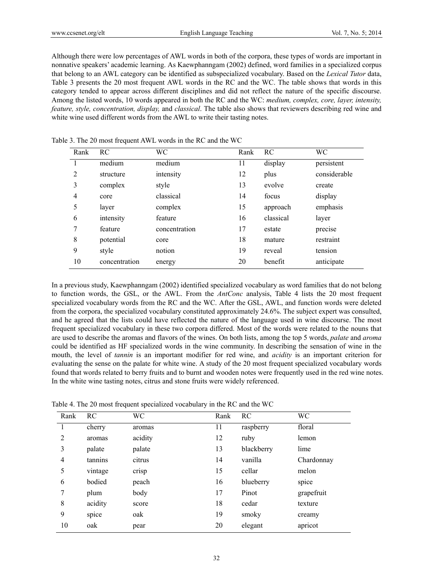Although there were low percentages of AWL words in both of the corpora, these types of words are important in nonnative speakers' academic learning. As Kaewphanngam (2002) defined, word families in a specialized corpus that belong to an AWL category can be identified as subspecialized vocabulary. Based on the *Lexical Tutor* data, Table 3 presents the 20 most frequent AWL words in the RC and the WC. The table shows that words in this category tended to appear across different disciplines and did not reflect the nature of the specific discourse. Among the listed words, 10 words appeared in both the RC and the WC: *medium, complex, core, layer, intensity, feature, style, concentration, display,* and *classical*. The table also shows that reviewers describing red wine and white wine used different words from the AWL to write their tasting notes.

| Rank           | <b>RC</b>     | WC            | Rank | <b>RC</b> | <b>WC</b>    |
|----------------|---------------|---------------|------|-----------|--------------|
|                | medium        | medium        | 11   | display   | persistent   |
| 2              | structure     | intensity     | 12   | plus      | considerable |
| 3              | complex       | style         | 13   | evolve    | create       |
| $\overline{4}$ | core          | classical     | 14   | focus     | display      |
| 5              | layer         | complex       | 15   | approach  | emphasis     |
| 6              | intensity     | feature       | 16   | classical | layer        |
| 7              | feature       | concentration | 17   | estate    | precise      |
| 8              | potential     | core          | 18   | mature    | restraint    |
| 9              | style         | notion        | 19   | reveal    | tension      |
| 10             | concentration | energy        | 20   | benefit   | anticipate   |

Table 3. The 20 most frequent AWL words in the RC and the WC

In a previous study, Kaewphanngam (2002) identified specialized vocabulary as word families that do not belong to function words, the GSL, or the AWL. From the *AntConc* analysis, Table 4 lists the 20 most frequent specialized vocabulary words from the RC and the WC. After the GSL, AWL, and function words were deleted from the corpora, the specialized vocabulary constituted approximately 24.6%. The subject expert was consulted, and he agreed that the lists could have reflected the nature of the language used in wine discourse. The most frequent specialized vocabulary in these two corpora differed. Most of the words were related to the nouns that are used to describe the aromas and flavors of the wines. On both lists, among the top 5 words, *palate* and *aroma* could be identified as HF specialized words in the wine community. In describing the sensation of wine in the mouth, the level of *tannin* is an important modifier for red wine, and *acidity* is an important criterion for evaluating the sense on the palate for white wine. A study of the 20 most frequent specialized vocabulary words found that words related to berry fruits and to burnt and wooden notes were frequently used in the red wine notes. In the white wine tasting notes, citrus and stone fruits were widely referenced.

Table 4. The 20 most frequent specialized vocabulary in the RC and the WC

| Rank | RC      | WС      | Rank | <b>RC</b>  | WC.        |
|------|---------|---------|------|------------|------------|
|      | cherry  | aromas  | 11   | raspberry  | floral     |
| 2    | aromas  | acidity | 12   | ruby       | lemon      |
| 3    | palate  | palate  | 13   | blackberry | lime       |
| 4    | tannins | citrus  | 14   | vanilla    | Chardonnay |
| 5    | vintage | crisp   | 15   | cellar     | melon      |
| 6    | bodied  | peach   | 16   | blueberry  | spice      |
| 7    | plum    | body    | 17   | Pinot      | grapefruit |
| 8    | acidity | score   | 18   | cedar      | texture    |
| 9    | spice   | oak     | 19   | smoky      | creamy     |
| 10   | oak     | pear    | 20   | elegant    | apricot    |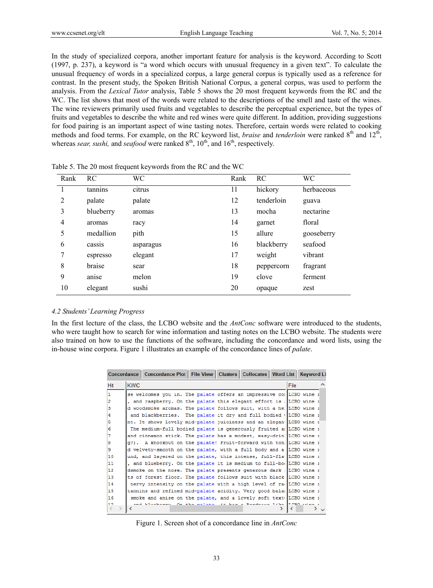In the study of specialized corpora, another important feature for analysis is the keyword. According to Scott (1997, p. 237), a keyword is "a word which occurs with unusual frequency in a given text". To calculate the unusual frequency of words in a specialized corpus, a large general corpus is typically used as a reference for contrast. In the present study, the Spoken British National Corpus, a general corpus, was used to perform the analysis. From the *Lexical Tutor* analysis, Table 5 shows the 20 most frequent keywords from the RC and the WC. The list shows that most of the words were related to the descriptions of the smell and taste of the wines. The wine reviewers primarily used fruits and vegetables to describe the perceptual experience, but the types of fruits and vegetables to describe the white and red wines were quite different. In addition, providing suggestions for food pairing is an important aspect of wine tasting notes. Therefore, certain words were related to cooking methods and food terms. For example, on the RC keyword list, *braise* and *tenderloin* were ranked 8<sup>th</sup> and 12<sup>th</sup>, whereas *sear, sushi,* and *seafood* were ranked  $8<sup>th</sup>$ ,  $10<sup>th</sup>$ , and  $16<sup>th</sup>$ , respectively.

| Rank | RC        | WC        | Rank | <b>RC</b>  | WC         |
|------|-----------|-----------|------|------------|------------|
|      | tannins   | citrus    | 11   | hickory    | herbaceous |
| 2    | palate    | palate    | 12   | tenderloin | guava      |
| 3    | blueberry | aromas    | 13   | mocha      | nectarine  |
| 4    | aromas    | racy      | 14   | garnet     | floral     |
| 5    | medallion | pith      | 15   | allure     | gooseberry |
| 6    | cassis    | asparagus | 16   | blackberry | seafood    |
| 7    | espresso  | elegant   | 17   | weight     | vibrant    |
| 8    | braise    | sear      | 18   | peppercorn | fragrant   |
| 9    | anise     | melon     | 19   | clove      | ferment    |
| 10   | elegant   | sushi     | 20   | opaque     | zest       |

Table 5. The 20 most frequent keywords from the RC and the WC

#### *4.2 Students' Learning Progress*

In the first lecture of the class, the LCBO website and the *AntConc* software were introduced to the students, who were taught how to search for wine information and tasting notes on the LCBO website. The students were also trained on how to use the functions of the software, including the concordance and word lists, using the in-house wine corpora. Figure 1 illustrates an example of the concordance lines of *palate*.

| Concordance | Concordance Plot   File View   Clusters   Collocates   Word List       |      | <b>Keyword Li</b> |
|-------------|------------------------------------------------------------------------|------|-------------------|
| <b>Hit</b>  | <b>KWIC</b>                                                            | File |                   |
| 1           | se welcomes you in. The palate offers an impressive com LCBO wine m    |      |                   |
| 2           | , and raspberry. On the palate this elegant effort is : LCBO wine :    |      |                   |
| 3           | d woodsmoke aromas. The palate follows suit, with a he ILCBO wine :    |      |                   |
| 4           | and blackberries. The palate it dry and full bodied ( ILCBO wine )     |      |                   |
| 5           | Int. It shows lovelv mid-palate juiciness and an elegan MLCBO wine i   |      |                   |
| 6           | The medium-full bodied palate is generously fruited am LCBO wine a     |      |                   |
| 7           | and cinnamon stick. The palate has a modest, easy-drin LCBO wine :     |      |                   |
| 8           | q?). A knockout on the palate! Fruit-forward with ton:  LCBO wine :    |      |                   |
| 9           | d velvety-smooth on the palate, with a full body and a   LCBO wine :   |      |                   |
| 10          | und, and layered on the palate, this intense, full-fla   LCBO wine :   |      |                   |
| 11          | , and blueberry. On the palate it is medium to full-bo ILCBO wine :    |      |                   |
| 12          | dsmoke on the nose. The palate presents generous dark : LCBO wine :    |      |                   |
| 13          | ts of forest floor. The palate follows suit with black   LCBO wine :   |      |                   |
| 14          | nervy intensity on the palate with a high level of rad LCBO wine a     |      |                   |
| 15          | tannins and refined mid-palate acidity. Very good bala: LCBO wine :    |      |                   |
| 16          | smoke and anise on the palate, and a lovely soft text; LCBO wine :     |      |                   |
| 17          | 4+ has a Dandasine 14ths TCDA Hina<br>$On$ the melete<br>and blushawer |      |                   |
|             |                                                                        |      |                   |

Figure 1. Screen shot of a concordance line in *AntConc*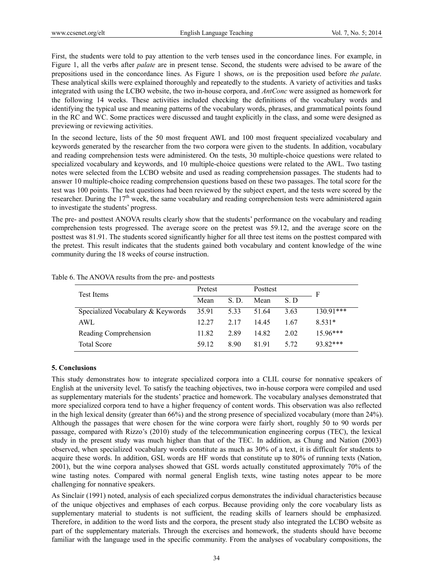First, the students were told to pay attention to the verb tenses used in the concordance lines. For example, in Figure 1, all the verbs after *palate* are in present tense. Second, the students were advised to be aware of the prepositions used in the concordance lines. As Figure 1 shows, *on* is the preposition used before *the palate*. These analytical skills were explained thoroughly and repeatedly to the students. A variety of activities and tasks integrated with using the LCBO website, the two in-house corpora, and *AntConc* were assigned as homework for the following 14 weeks. These activities included checking the definitions of the vocabulary words and identifying the typical use and meaning patterns of the vocabulary words, phrases, and grammatical points found in the RC and WC. Some practices were discussed and taught explicitly in the class, and some were designed as previewing or reviewing activities.

In the second lecture, lists of the 50 most frequent AWL and 100 most frequent specialized vocabulary and keywords generated by the researcher from the two corpora were given to the students. In addition, vocabulary and reading comprehension tests were administered. On the tests, 30 multiple-choice questions were related to specialized vocabulary and keywords, and 10 multiple-choice questions were related to the AWL. Two tasting notes were selected from the LCBO website and used as reading comprehension passages. The students had to answer 10 multiple-choice reading comprehension questions based on these two passages. The total score for the test was 100 points. The test questions had been reviewed by the subject expert, and the tests were scored by the researcher. During the 17<sup>th</sup> week, the same vocabulary and reading comprehension tests were administered again to investigate the students' progress.

The pre- and posttest ANOVA results clearly show that the students' performance on the vocabulary and reading comprehension tests progressed. The average score on the pretest was 59.12, and the average score on the posttest was 81.91. The students scored significantly higher for all three test items on the posttest compared with the pretest. This result indicates that the students gained both vocabulary and content knowledge of the wine community during the 18 weeks of course instruction.

| <b>Test Items</b>                 | Pretest |       | Posttest |      | F           |  |
|-----------------------------------|---------|-------|----------|------|-------------|--|
|                                   | Mean    | S. D. | Mean     | S D  |             |  |
| Specialized Vocabulary & Keywords | 35.91   | 5.33  | 51.64    | 3.63 | $130.91***$ |  |
| AWL                               | 12.27   | 2.17  | 14.45    | 1.67 | $8.531*$    |  |
| Reading Comprehension             | 11.82   | 2.89  | 14 82    | 2.02 | $15.96***$  |  |
| <b>Total Score</b>                | 59.12   | 890   | 8191     | 5.72 | 93 82***    |  |

Table 6. The ANOVA results from the pre- and posttests

## **5. Conclusions**

This study demonstrates how to integrate specialized corpora into a CLIL course for nonnative speakers of English at the university level. To satisfy the teaching objectives, two in-house corpora were compiled and used as supplementary materials for the students' practice and homework. The vocabulary analyses demonstrated that more specialized corpora tend to have a higher frequency of content words. This observation was also reflected in the high lexical density (greater than 66%) and the strong presence of specialized vocabulary (more than 24%). Although the passages that were chosen for the wine corpora were fairly short, roughly 50 to 90 words per passage, compared with Rizzo's (2010) study of the telecommunication engineering corpus (TEC), the lexical study in the present study was much higher than that of the TEC. In addition, as Chung and Nation (2003) observed, when specialized vocabulary words constitute as much as 30% of a text, it is difficult for students to acquire these words. In addition, GSL words are HF words that constitute up to 80% of running texts (Nation, 2001), but the wine corpora analyses showed that GSL words actually constituted approximately 70% of the wine tasting notes. Compared with normal general English texts, wine tasting notes appear to be more challenging for nonnative speakers.

As Sinclair (1991) noted, analysis of each specialized corpus demonstrates the individual characteristics because of the unique objectives and emphases of each corpus. Because providing only the core vocabulary lists as supplementary material to students is not sufficient, the reading skills of learners should be emphasized. Therefore, in addition to the word lists and the corpora, the present study also integrated the LCBO website as part of the supplementary materials. Through the exercises and homework, the students should have become familiar with the language used in the specific community. From the analyses of vocabulary compositions, the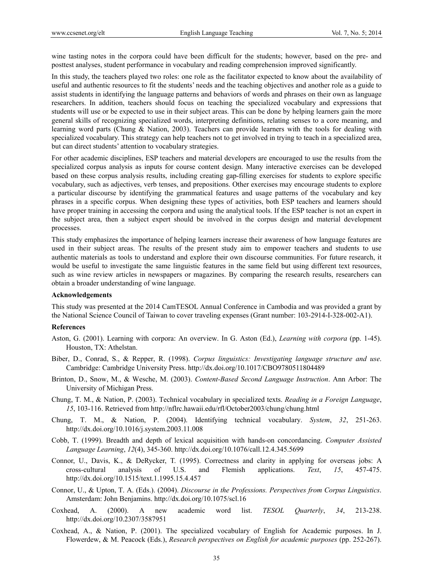wine tasting notes in the corpora could have been difficult for the students; however, based on the pre- and posttest analyses, student performance in vocabulary and reading comprehension improved significantly.

In this study, the teachers played two roles: one role as the facilitator expected to know about the availability of useful and authentic resources to fit the students' needs and the teaching objectives and another role as a guide to assist students in identifying the language patterns and behaviors of words and phrases on their own as language researchers. In addition, teachers should focus on teaching the specialized vocabulary and expressions that students will use or be expected to use in their subject areas. This can be done by helping learners gain the more general skills of recognizing specialized words, interpreting definitions, relating senses to a core meaning, and learning word parts (Chung & Nation, 2003). Teachers can provide learners with the tools for dealing with specialized vocabulary. This strategy can help teachers not to get involved in trying to teach in a specialized area, but can direct students' attention to vocabulary strategies.

For other academic disciplines, ESP teachers and material developers are encouraged to use the results from the specialized corpus analysis as inputs for course content design. Many interactive exercises can be developed based on these corpus analysis results, including creating gap-filling exercises for students to explore specific vocabulary, such as adjectives, verb tenses, and prepositions. Other exercises may encourage students to explore a particular discourse by identifying the grammatical features and usage patterns of the vocabulary and key phrases in a specific corpus. When designing these types of activities, both ESP teachers and learners should have proper training in accessing the corpora and using the analytical tools. If the ESP teacher is not an expert in the subject area, then a subject expert should be involved in the corpus design and material development processes.

This study emphasizes the importance of helping learners increase their awareness of how language features are used in their subject areas. The results of the present study aim to empower teachers and students to use authentic materials as tools to understand and explore their own discourse communities. For future research, it would be useful to investigate the same linguistic features in the same field but using different text resources, such as wine review articles in newspapers or magazines. By comparing the research results, researchers can obtain a broader understanding of wine language.

#### **Acknowledgements**

This study was presented at the 2014 CamTESOL Annual Conference in Cambodia and was provided a grant by the National Science Council of Taiwan to cover traveling expenses (Grant number: 103-2914-I-328-002-A1).

#### **References**

- Aston, G. (2001). Learning with corpora: An overview. In G. Aston (Ed.), *Learning with corpora* (pp. 1-45). Houston, TX: Athelstan.
- Biber, D., Conrad, S., & Repper, R. (1998). *Corpus linguistics: Investigating language structure and use*. Cambridge: Cambridge University Press. http://dx.doi.org/10.1017/CBO9780511804489
- Brinton, D., Snow, M., & Wesche, M. (2003). *Content-Based Second Language Instruction*. Ann Arbor: The University of Michigan Press.
- Chung, T. M., & Nation, P. (2003). Technical vocabulary in specialized texts. *Reading in a Foreign Language*, *15*, 103-116. Retrieved from http://nflrc.hawaii.edu/rfl/October2003/chung/chung.html
- Chung, T. M., & Nation, P. (2004). Identifying technical vocabulary. *System*, *32*, 251-263. http://dx.doi.org/10.1016/j.system.2003.11.008
- Cobb, T. (1999). Breadth and depth of lexical acquisition with hands-on concordancing. *Computer Assisted Language Learning*, *12*(4), 345-360. http://dx.doi.org/10.1076/call.12.4.345.5699
- Connor, U., Davis, K., & DeRycker, T. (1995). Correctness and clarity in applying for overseas jobs: A cross-cultural analysis of U.S. and Flemish applications. *Text*, *15*, 457-475. http://dx.doi.org/10.1515/text.1.1995.15.4.457
- Connor, U., & Upton, T. A. (Eds.). (2004). *Discourse in the Professions. Perspectives from Corpus Linguistics*. Amsterdam: John Benjamins. http://dx.doi.org/10.1075/scl.16
- Coxhead, A. (2000). A new academic word list. *TESOL Quarterly*, *34*, 213-238. http://dx.doi.org/10.2307/3587951
- Coxhead, A., & Nation, P. (2001). The specialized vocabulary of English for Academic purposes. In J. Flowerdew, & M. Peacock (Eds.), *Research perspectives on English for academic purposes* (pp. 252-267).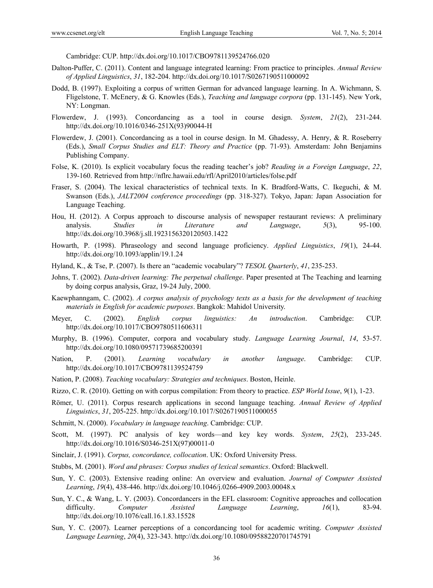Cambridge: CUP. http://dx.doi.org/10.1017/CBO9781139524766.020

- Dalton-Puffer, C. (2011). Content and language integrated learning: From practice to principles. *Annual Review of Applied Linguistics*, *31*, 182-204. http://dx.doi.org/10.1017/S0267190511000092
- Dodd, B. (1997). Exploiting a corpus of written German for advanced language learning. In A. Wichmann, S. Fligelstone, T. McEnery, & G. Knowles (Eds.), *Teaching and language corpora* (pp. 131-145). New York, NY: Longman.
- Flowerdew, J. (1993). Concordancing as a tool in course design. *System*, *21*(2), 231-244. http://dx.doi.org/10.1016/0346-251X(93)90044-H
- Flowerdew, J. (2001). Concordancing as a tool in course design. In M. Ghadessy, A. Henry, & R. Roseberry (Eds.), *Small Corpus Studies and ELT: Theory and Practice* (pp. 71-93). Amsterdam: John Benjamins Publishing Company.
- Folse, K. (2010). Is explicit vocabulary focus the reading teacher's job? *Reading in a Foreign Language*, *22*, 139-160. Retrieved from http://nflrc.hawaii.edu/rfl/April2010/articles/folse.pdf
- Fraser, S. (2004). The lexical characteristics of technical texts. In K. Bradford-Watts, C. Ikeguchi, & M. Swanson (Eds.), *JALT2004 conference proceedings* (pp. 318-327). Tokyo, Japan: Japan Association for Language Teaching.
- Hou, H. (2012). A Corpus approach to discourse analysis of newspaper restaurant reviews: A preliminary analysis. *Studies in Literature and Language*, *5*(3), 95-100. http://dx.doi.org/10.3968/j.sll.1923156320120503.1422
- Howarth, P. (1998). Phraseology and second language proficiency. *Applied Linguistics*, *19*(1), 24-44. http://dx.doi.org/10.1093/applin/19.1.24
- Hyland, K., & Tse, P. (2007). Is there an "academic vocabulary"? *TESOL Quarterly*, *41*, 235-253.
- Johns, T. (2002). *Data-driven learning: The perpetual challenge*. Paper presented at The Teaching and learning by doing corpus analysis, Graz, 19-24 July, 2000.
- Kaewphanngam, C. (2002). *A corpus analysis of psychology texts as a basis for the development of teaching materials in English for academic purposes*. Bangkok: Mahidol University.
- Meyer, C. (2002). *English corpus linguistics: An introduction*. Cambridge: CUP. http://dx.doi.org/10.1017/CBO9780511606311
- Murphy, B. (1996). Computer, corpora and vocabulary study. *Language Learning Journal*, *14*, 53-57. http://dx.doi.org/10.1080/09571739685200391
- Nation, P. (2001). *Learning vocabulary in another language*. Cambridge: CUP. http://dx.doi.org/10.1017/CBO9781139524759
- Nation, P. (2008). *Teaching vocabulary: Strategies and techniques*. Boston, Heinle.
- Rizzo, C. R. (2010). Getting on with corpus compilation: From theory to practice. *ESP World Issue*, *9*(1), 1-23.
- Römer, U. (2011). Corpus research applications in second language teaching. *Annual Review of Applied Linguistics*, *31*, 205-225. http://dx.doi.org/10.1017/S0267190511000055
- Schmitt, N. (2000). *Vocabulary in language teaching*. Cambridge: CUP.
- Scott, M. (1997). PC analysis of key words—and key key words. *System*, *25*(2), 233-245. http://dx.doi.org/10.1016/S0346-251X(97)00011-0
- Sinclair, J. (1991). *Corpus, concordance, collocation*. UK: Oxford University Press.
- Stubbs, M. (2001). *Word and phrases: Corpus studies of lexical semantics*. Oxford: Blackwell.
- Sun, Y. C. (2003). Extensive reading online: An overview and evaluation. *Journal of Computer Assisted Learning*, *19*(4), 438-446. http://dx.doi.org/10.1046/j.0266-4909.2003.00048.x
- Sun, Y. C., & Wang, L. Y. (2003). Concordancers in the EFL classroom: Cognitive approaches and collocation difficulty. *Computer Assisted Language Learning*, *16*(1), 83-94. http://dx.doi.org/10.1076/call.16.1.83.15528
- Sun, Y. C. (2007). Learner perceptions of a concordancing tool for academic writing. *Computer Assisted Language Learning*, *20*(4), 323-343. http://dx.doi.org/10.1080/09588220701745791